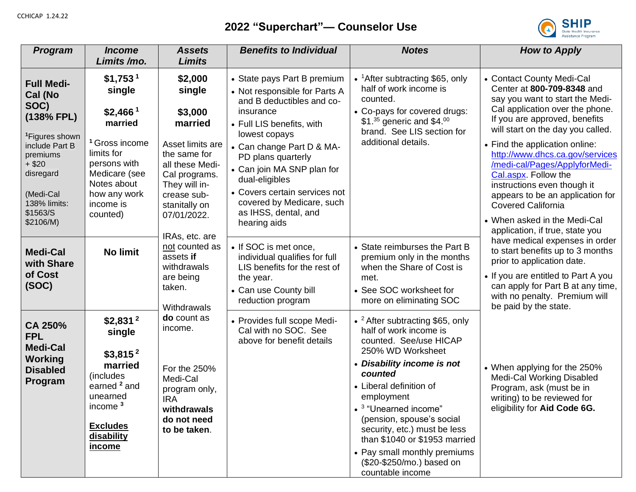## **2022 "Superchart"— Counselor Use**



| <b>Program</b>                                                                                                                                                                                | <b>Income</b><br>Limits/mo.                                                                                                                                                                            | <b>Assets</b><br><b>Limits</b>                                                                                                                                                  | <b>Benefits to Individual</b>                                                                                                                                                                                                                                                                                                                 | <b>Notes</b>                                                                                                                                                                                                                                                                                                                                                                                                              | <b>How to Apply</b>                                                                                                                                                                                                                                                                                                                                                                                                                                               |
|-----------------------------------------------------------------------------------------------------------------------------------------------------------------------------------------------|--------------------------------------------------------------------------------------------------------------------------------------------------------------------------------------------------------|---------------------------------------------------------------------------------------------------------------------------------------------------------------------------------|-----------------------------------------------------------------------------------------------------------------------------------------------------------------------------------------------------------------------------------------------------------------------------------------------------------------------------------------------|---------------------------------------------------------------------------------------------------------------------------------------------------------------------------------------------------------------------------------------------------------------------------------------------------------------------------------------------------------------------------------------------------------------------------|-------------------------------------------------------------------------------------------------------------------------------------------------------------------------------------------------------------------------------------------------------------------------------------------------------------------------------------------------------------------------------------------------------------------------------------------------------------------|
| <b>Full Medi-</b><br>Cal (No<br>SOC)<br>(138% FPL)<br><sup>1</sup> Figures shown<br>include Part B<br>premiums<br>$+$ \$20<br>disregard<br>(Medi-Cal<br>138% limits:<br>\$1563/S<br>\$2106/M) | \$1,753 <sup>1</sup><br>single<br>$$2,466$ <sup>1</sup><br>married<br><sup>1</sup> Gross income<br>limits for<br>persons with<br>Medicare (see<br>Notes about<br>how any work<br>income is<br>counted) | \$2,000<br>single<br>\$3,000<br>married<br>Asset limits are<br>the same for<br>all these Medi-<br>Cal programs.<br>They will in-<br>crease sub-<br>stanitally on<br>07/01/2022. | • State pays Part B premium<br>• Not responsible for Parts A<br>and B deductibles and co-<br>insurance<br>• Full LIS benefits, with<br>lowest copays<br>• Can change Part D & MA-<br>PD plans quarterly<br>• Can join MA SNP plan for<br>dual-eligibles<br>• Covers certain services not<br>covered by Medicare, such<br>as IHSS, dental, and | • ${}^{1}$ After subtracting \$65, only<br>half of work income is<br>counted.<br>• Co-pays for covered drugs:<br>\$1. $35$ generic and \$4.00<br>brand. See LIS section for<br>additional details.                                                                                                                                                                                                                        | • Contact County Medi-Cal<br>Center at 800-709-8348 and<br>say you want to start the Medi-<br>Cal application over the phone.<br>If you are approved, benefits<br>will start on the day you called.<br>• Find the application online:<br>http://www.dhcs.ca.gov/services<br>/medi-cal/Pages/ApplyforMedi-<br>Cal.aspx. Follow the<br>instructions even though it<br>appears to be an application for<br><b>Covered California</b><br>• When asked in the Medi-Cal |
| <b>Medi-Cal</b><br>with Share<br>of Cost<br>(SOC)                                                                                                                                             | <b>No limit</b>                                                                                                                                                                                        | IRAs, etc. are<br>not counted as<br>assets if<br>withdrawals<br>are being<br>taken.<br>Withdrawals                                                                              | hearing aids<br>• If SOC is met once,<br>individual qualifies for full<br>LIS benefits for the rest of<br>the year.<br>• Can use County bill<br>reduction program                                                                                                                                                                             | • State reimburses the Part B<br>premium only in the months<br>when the Share of Cost is<br>met.<br>• See SOC worksheet for<br>more on eliminating SOC                                                                                                                                                                                                                                                                    | application, if true, state you<br>have medical expenses in order<br>to start benefits up to 3 months<br>prior to application date.<br>• If you are entitled to Part A you<br>can apply for Part B at any time,<br>with no penalty. Premium will<br>be paid by the state.                                                                                                                                                                                         |
| CA 250%<br><b>FPL</b><br><b>Medi-Cal</b><br><b>Working</b><br><b>Disabled</b><br>Program                                                                                                      | $$2,831$ <sup>2</sup><br>single<br>$$3,815^2$<br>married<br>(includes)<br>earned <sup>2</sup> and<br>unearned<br>income <sup>3</sup><br><b>Excludes</b><br>disability<br><u>income</u>                 | do count as<br>income.<br>For the 250%<br>Medi-Cal<br>program only,<br><b>IRA</b><br>withdrawals<br>do not need<br>to be taken.                                                 | • Provides full scope Medi-<br>Cal with no SOC. See<br>above for benefit details                                                                                                                                                                                                                                                              | • <sup>2</sup> After subtracting \$65, only<br>half of work income is<br>counted. See/use HICAP<br>250% WD Worksheet<br>• Disability income is not<br>counted<br>• Liberal definition of<br>employment<br>• <sup>3</sup> "Unearned income"<br>(pension, spouse's social<br>security, etc.) must be less<br>than \$1040 or \$1953 married<br>• Pay small monthly premiums<br>(\$20-\$250/mo.) based on<br>countable income | • When applying for the 250%<br><b>Medi-Cal Working Disabled</b><br>Program, ask (must be in<br>writing) to be reviewed for<br>eligibility for Aid Code 6G.                                                                                                                                                                                                                                                                                                       |